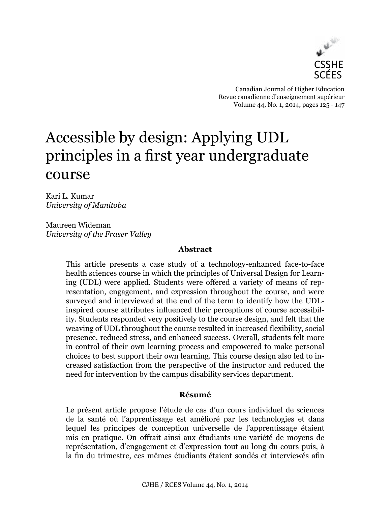

Canadian Journal of Higher Education Revue canadienne d'enseignement supérieur Volume 44, No. 1, 2014, pages 125 - 147

# Accessible by design: Applying UDL principles in a first year undergraduate course

Kari L. Kumar *University of Manitoba*

Maureen Wideman *University of the Fraser Valley*

## **Abstract**

This article presents a case study of a technology-enhanced face-to-face health sciences course in which the principles of Universal Design for Learning (UDL) were applied. Students were offered a variety of means of representation, engagement, and expression throughout the course, and were surveyed and interviewed at the end of the term to identify how the UDLinspired course attributes influenced their perceptions of course accessibility. Students responded very positively to the course design, and felt that the weaving of UDL throughout the course resulted in increased flexibility, social presence, reduced stress, and enhanced success. Overall, students felt more in control of their own learning process and empowered to make personal choices to best support their own learning. This course design also led to increased satisfaction from the perspective of the instructor and reduced the need for intervention by the campus disability services department.

# **Résumé**

Le présent article propose l'étude de cas d'un cours individuel de sciences de la santé où l'apprentissage est amélioré par les technologies et dans lequel les principes de conception universelle de l'apprentissage étaient mis en pratique. On offrait ainsi aux étudiants une variété de moyens de représentation, d'engagement et d'expression tout au long du cours puis, à la fin du trimestre, ces mêmes étudiants étaient sondés et interviewés afin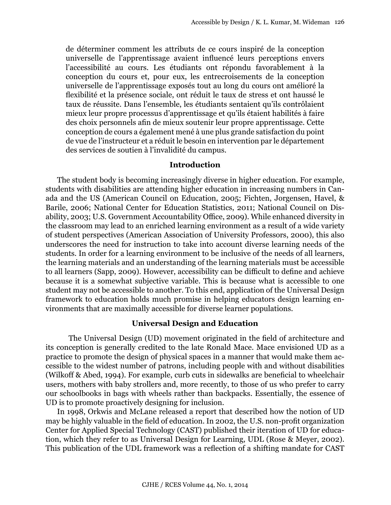de déterminer comment les attributs de ce cours inspiré de la conception universelle de l'apprentissage avaient influencé leurs perceptions envers l'accessibilité au cours. Les étudiants ont répondu favorablement à la conception du cours et, pour eux, les entrecroisements de la conception universelle de l'apprentissage exposés tout au long du cours ont amélioré la flexibilité et la présence sociale, ont réduit le taux de stress et ont haussé le taux de réussite. Dans l'ensemble, les étudiants sentaient qu'ils contrôlaient mieux leur propre processus d'apprentissage et qu'ils étaient habilités à faire des choix personnels afin de mieux soutenir leur propre apprentissage. Cette conception de cours a également mené à une plus grande satisfaction du point de vue de l'instructeur et a réduit le besoin en intervention par le département des services de soutien à l'invalidité du campus.

#### **Introduction**

The student body is becoming increasingly diverse in higher education. For example, students with disabilities are attending higher education in increasing numbers in Canada and the US (American Council on Education, 2005; Fichten, Jorgensen, Havel, & Barile, 2006; National Center for Education Statistics, 2011; National Council on Disability, 2003; U.S. Government Accountability Office, 2009). While enhanced diversity in the classroom may lead to an enriched learning environment as a result of a wide variety of student perspectives (American Association of University Professors, 2000), this also underscores the need for instruction to take into account diverse learning needs of the students. In order for a learning environment to be inclusive of the needs of all learners, the learning materials and an understanding of the learning materials must be accessible to all learners (Sapp, 2009). However, accessibility can be difficult to define and achieve because it is a somewhat subjective variable. This is because what is accessible to one student may not be accessible to another. To this end, application of the Universal Design framework to education holds much promise in helping educators design learning environments that are maximally accessible for diverse learner populations.

#### **Universal Design and Education**

The Universal Design (UD) movement originated in the field of architecture and its conception is generally credited to the late Ronald Mace. Mace envisioned UD as a practice to promote the design of physical spaces in a manner that would make them accessible to the widest number of patrons, including people with and without disabilities (Wilkoff & Abed, 1994). For example, curb cuts in sidewalks are beneficial to wheelchair users, mothers with baby strollers and, more recently, to those of us who prefer to carry our schoolbooks in bags with wheels rather than backpacks. Essentially, the essence of UD is to promote proactively designing for inclusion.

In 1998, Orkwis and McLane released a report that described how the notion of UD may be highly valuable in the field of education. In 2002, the U.S. non-profit organization Center for Applied Special Technology (CAST) published their iteration of UD for education, which they refer to as Universal Design for Learning, UDL (Rose & Meyer, 2002). This publication of the UDL framework was a reflection of a shifting mandate for CAST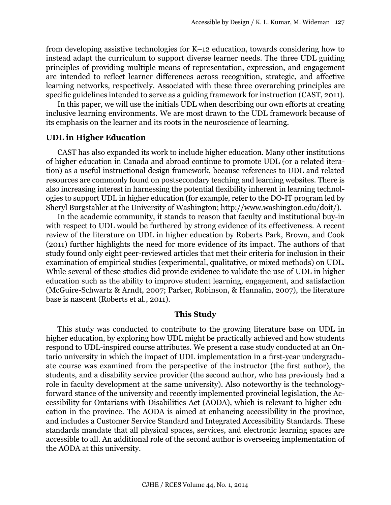from developing assistive technologies for K–12 education, towards considering how to instead adapt the curriculum to support diverse learner needs. The three UDL guiding principles of providing multiple means of representation, expression, and engagement are intended to reflect learner differences across recognition, strategic, and affective learning networks, respectively. Associated with these three overarching principles are specific guidelines intended to serve as a guiding framework for instruction (CAST, 2011).

In this paper, we will use the initials UDL when describing our own efforts at creating inclusive learning environments. We are most drawn to the UDL framework because of its emphasis on the learner and its roots in the neuroscience of learning.

#### **UDL in Higher Education**

CAST has also expanded its work to include higher education. Many other institutions of higher education in Canada and abroad continue to promote UDL (or a related iteration) as a useful instructional design framework, because references to UDL and related resources are commonly found on postsecondary teaching and learning websites. There is also increasing interest in harnessing the potential flexibility inherent in learning technologies to support UDL in higher education (for example, refer to the DO-IT program led by Sheryl Burgstahler at the University of Washington; [http://www.washington.edu/doit/\)](http://www.washington.edu/doit/).

In the academic community, it stands to reason that faculty and institutional buy-in with respect to UDL would be furthered by strong evidence of its effectiveness. A recent review of the literature on UDL in higher education by Roberts Park, Brown, and Cook (2011) further highlights the need for more evidence of its impact. The authors of that study found only eight peer-reviewed articles that met their criteria for inclusion in their examination of empirical studies (experimental, qualitative, or mixed methods) on UDL. While several of these studies did provide evidence to validate the use of UDL in higher education such as the ability to improve student learning, engagement, and satisfaction (McGuire-Schwartz & Arndt, 2007; Parker, Robinson, & Hannafin, 2007), the literature base is nascent (Roberts et al., 2011).

#### **This Study**

This study was conducted to contribute to the growing literature base on UDL in higher education, by exploring how UDL might be practically achieved and how students respond to UDL-inspired course attributes. We present a case study conducted at an Ontario university in which the impact of UDL implementation in a first-year undergraduate course was examined from the perspective of the instructor (the first author), the students, and a disability service provider (the second author, who has previously had a role in faculty development at the same university). Also noteworthy is the technologyforward stance of the university and recently implemented provincial legislation, the Accessibility for Ontarians with Disabilities Act (AODA), which is relevant to higher education in the province. The AODA is aimed at enhancing accessibility in the province, and includes a Customer Service Standard and Integrated Accessibility Standards. These standards mandate that all physical spaces, services, and electronic learning spaces are accessible to all. An additional role of the second author is overseeing implementation of the AODA at this university.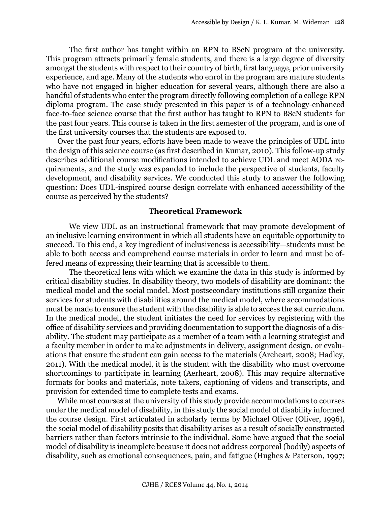The first author has taught within an RPN to BScN program at the university. This program attracts primarily female students, and there is a large degree of diversity amongst the students with respect to their country of birth, first language, prior university experience, and age. Many of the students who enrol in the program are mature students who have not engaged in higher education for several years, although there are also a handful of students who enter the program directly following completion of a college RPN diploma program. The case study presented in this paper is of a technology-enhanced face-to-face science course that the first author has taught to RPN to BScN students for the past four years. This course is taken in the first semester of the program, and is one of the first university courses that the students are exposed to.

Over the past four years, efforts have been made to weave the principles of UDL into the design of this science course (as first described in Kumar, 2010). This follow-up study describes additional course modifications intended to achieve UDL and meet AODA requirements, and the study was expanded to include the perspective of students, faculty development, and disability services. We conducted this study to answer the following question: Does UDL-inspired course design correlate with enhanced accessibility of the course as perceived by the students?

#### **Theoretical Framework**

We view UDL as an instructional framework that may promote development of an inclusive learning environment in which all students have an equitable opportunity to succeed. To this end, a key ingredient of inclusiveness is accessibility—students must be able to both access and comprehend course materials in order to learn and must be offered means of expressing their learning that is accessible to them.

The theoretical lens with which we examine the data in this study is informed by critical disability studies. In disability theory, two models of disability are dominant: the medical model and the social model. Most postsecondary institutions still organize their services for students with disabilities around the medical model, where accommodations must be made to ensure the student with the disability is able to access the set curriculum. In the medical model, the student initiates the need for services by registering with the office of disability services and providing documentation to support the diagnosis of a disability. The student may participate as a member of a team with a learning strategist and a faculty member in order to make adjustments in delivery, assignment design, or evaluations that ensure the student can gain access to the materials (Areheart, 2008; Hadley, 2011). With the medical model, it is the student with the disability who must overcome shortcomings to participate in learning (Aerheart, 2008). This may require alternative formats for books and materials, note takers, captioning of videos and transcripts, and provision for extended time to complete tests and exams.

While most courses at the university of this study provide accommodations to courses under the medical model of disability, in this study the social model of disability informed the course design. First articulated in scholarly terms by Michael Oliver (Oliver, 1996), the social model of disability posits that disability arises as a result of socially constructed barriers rather than factors intrinsic to the individual. Some have argued that the social model of disability is incomplete because it does not address corporeal (bodily) aspects of disability, such as emotional consequences, pain, and fatigue (Hughes & Paterson, 1997;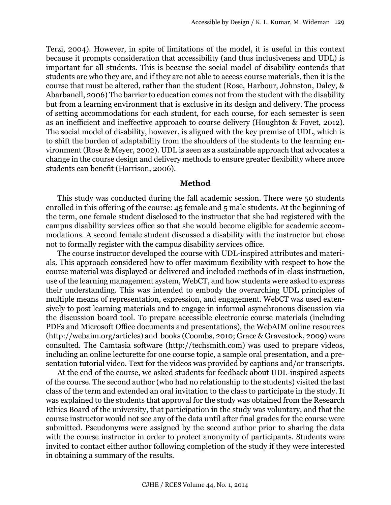Terzi, 2004). However, in spite of limitations of the model, it is useful in this context because it prompts consideration that accessibility (and thus inclusiveness and UDL) is important for all students. This is because the social model of disability contends that students are who they are, and if they are not able to access course materials, then it is the course that must be altered, rather than the student (Rose, Harbour, Johnston, Daley, & Abarbanell, 2006) The barrier to education comes not from the student with the disability but from a learning environment that is exclusive in its design and delivery. The process of setting accommodations for each student, for each course, for each semester is seen as an inefficient and ineffective approach to course delivery (Houghton & Fovet, 2012). The social model of disability, however, is aligned with the key premise of UDL, which is to shift the burden of adaptability from the shoulders of the students to the learning environment (Rose & Meyer, 2002). UDL is seen as a sustainable approach that advocates a change in the course design and delivery methods to ensure greater flexibility where more students can benefit (Harrison, 2006).

#### **Method**

This study was conducted during the fall academic session. There were 50 students enrolled in this offering of the course: 45 female and 5 male students. At the beginning of the term, one female student disclosed to the instructor that she had registered with the campus disability services office so that she would become eligible for academic accommodations. A second female student discussed a disability with the instructor but chose not to formally register with the campus disability services office.

The course instructor developed the course with UDL-inspired attributes and materials. This approach considered how to offer maximum flexibility with respect to how the course material was displayed or delivered and included methods of in-class instruction, use of the learning management system, WebCT, and how students were asked to express their understanding. This was intended to embody the overarching UDL principles of multiple means of representation, expression, and engagement. WebCT was used extensively to post learning materials and to engage in informal asynchronous discussion via the discussion board tool. To prepare accessible electronic course materials (including PDFs and Microsoft Office documents and presentations), the WebAIM online resources [\(http://webaim.org/articles\)](http://webaim.org/articles) and books (Coombs, 2010; Grace & Gravestock, 2009) were consulted. The Camtasia software (<http://techsmith.com>) was used to prepare videos, including an online lecturette for one course topic, a sample oral presentation, and a presentation tutorial video. Text for the videos was provided by captions and/or transcripts.

At the end of the course, we asked students for feedback about UDL-inspired aspects of the course. The second author (who had no relationship to the students) visited the last class of the term and extended an oral invitation to the class to participate in the study. It was explained to the students that approval for the study was obtained from the Research Ethics Board of the university, that participation in the study was voluntary, and that the course instructor would not see any of the data until after final grades for the course were submitted. Pseudonyms were assigned by the second author prior to sharing the data with the course instructor in order to protect anonymity of participants. Students were invited to contact either author following completion of the study if they were interested in obtaining a summary of the results.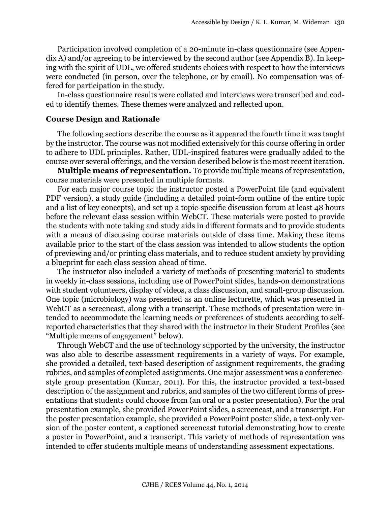Participation involved completion of a 20-minute in-class questionnaire (see Appendix A) and/or agreeing to be interviewed by the second author (see Appendix B). In keeping with the spirit of UDL, we offered students choices with respect to how the interviews were conducted (in person, over the telephone, or by email). No compensation was offered for participation in the study.

In-class questionnaire results were collated and interviews were transcribed and coded to identify themes. These themes were analyzed and reflected upon.

## **Course Design and Rationale**

The following sections describe the course as it appeared the fourth time it was taught by the instructor. The course was not modified extensively for this course offering in order to adhere to UDL principles. Rather, UDL-inspired features were gradually added to the course over several offerings, and the version described below is the most recent iteration.

**Multiple means of representation.** To provide multiple means of representation, course materials were presented in multiple formats.

For each major course topic the instructor posted a PowerPoint file (and equivalent PDF version), a study guide (including a detailed point-form outline of the entire topic and a list of key concepts), and set up a topic-specific discussion forum at least 48 hours before the relevant class session within WebCT. These materials were posted to provide the students with note taking and study aids in different formats and to provide students with a means of discussing course materials outside of class time. Making these items available prior to the start of the class session was intended to allow students the option of previewing and/or printing class materials, and to reduce student anxiety by providing a blueprint for each class session ahead of time.

The instructor also included a variety of methods of presenting material to students in weekly in-class sessions, including use of PowerPoint slides, hands-on demonstrations with student volunteers, display of videos, a class discussion, and small-group discussion. One topic (microbiology) was presented as an online lecturette, which was presented in WebCT as a screencast, along with a transcript. These methods of presentation were intended to accommodate the learning needs or preferences of students according to selfreported characteristics that they shared with the instructor in their Student Profiles (see "Multiple means of engagement" below).

Through WebCT and the use of technology supported by the university, the instructor was also able to describe assessment requirements in a variety of ways. For example, she provided a detailed, text-based description of assignment requirements, the grading rubrics, and samples of completed assignments. One major assessment was a conferencestyle group presentation (Kumar, 2011). For this, the instructor provided a text-based description of the assignment and rubrics, and samples of the two different forms of presentations that students could choose from (an oral or a poster presentation). For the oral presentation example, she provided PowerPoint slides, a screencast, and a transcript. For the poster presentation example, she provided a PowerPoint poster slide, a text-only version of the poster content, a captioned screencast tutorial demonstrating how to create a poster in PowerPoint, and a transcript. This variety of methods of representation was intended to offer students multiple means of understanding assessment expectations.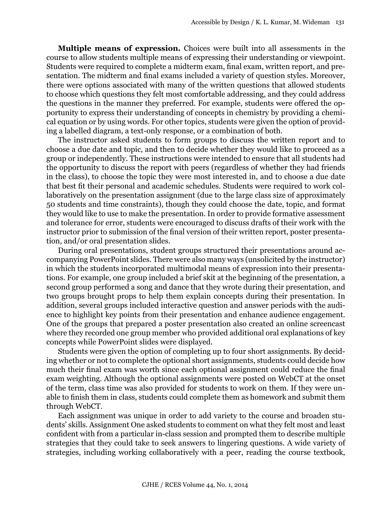**Multiple means of expression.** Choices were built into all assessments in the course to allow students multiple means of expressing their understanding or viewpoint. Students were required to complete a midterm exam, final exam, written report, and presentation. The midterm and final exams included a variety of question styles. Moreover, there were options associated with many of the written questions that allowed students to choose which questions they felt most comfortable addressing, and they could address the questions in the manner they preferred. For example, students were offered the opportunity to express their understanding of concepts in chemistry by providing a chemical equation or by using words. For other topics, students were given the option of providing a labelled diagram, a text-only response, or a combination of both.

The instructor asked students to form groups to discuss the written report and to choose a due date and topic, and then to decide whether they would like to proceed as a group or independently. These instructions were intended to ensure that all students had the opportunity to discuss the report with peers (regardless of whether they had friends in the class), to choose the topic they were most interested in, and to choose a due date that best fit their personal and academic schedules. Students were required to work collaboratively on the presentation assignment (due to the large class size of approximately 50 students and time constraints), though they could choose the date, topic, and format they would like to use to make the presentation. In order to provide formative assessment and tolerance for error, students were encouraged to discuss drafts of their work with the instructor prior to submission of the final version of their written report, poster presentation, and/or oral presentation slides.

During oral presentations, student groups structured their presentations around accompanying PowerPoint slides. There were also many ways (unsolicited by the instructor) in which the students incorporated multimodal means of expression into their presentations. For example, one group included a brief skit at the beginning of the presentation, a second group performed a song and dance that they wrote during their presentation, and two groups brought props to help them explain concepts during their presentation. In addition, several groups included interactive question and answer periods with the audience to highlight key points from their presentation and enhance audience engagement. One of the groups that prepared a poster presentation also created an online screencast where they recorded one group member who provided additional oral explanations of key concepts while PowerPoint slides were displayed.

Students were given the option of completing up to four short assignments. By deciding whether or not to complete the optional short assignments, students could decide how much their final exam was worth since each optional assignment could reduce the final exam weighting. Although the optional assignments were posted on WebCT at the onset of the term, class time was also provided for students to work on them. If they were unable to finish them in class, students could complete them as homework and submit them through WebCT.

Each assignment was unique in order to add variety to the course and broaden students' skills. Assignment One asked students to comment on what they felt most and least confident with from a particular in-class session and prompted them to describe multiple strategies that they could take to seek answers to lingering questions. A wide variety of strategies, including working collaboratively with a peer, reading the course textbook,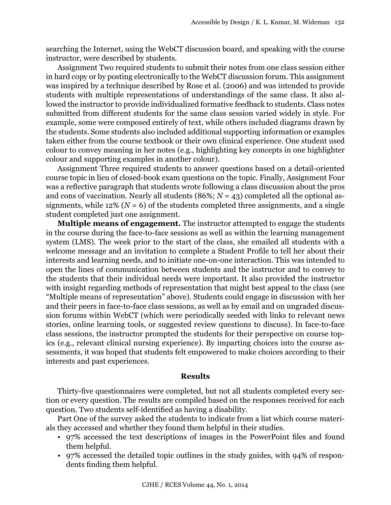searching the Internet, using the WebCT discussion board, and speaking with the course instructor, were described by students.

Assignment Two required students to submit their notes from one class session either in hard copy or by posting electronically to the WebCT discussion forum. This assignment was inspired by a technique described by Rose et al. (2006) and was intended to provide students with multiple representations of understandings of the same class. It also allowed the instructor to provide individualized formative feedback to students. Class notes submitted from different students for the same class session varied widely in style. For example, some were composed entirely of text, while others included diagrams drawn by the students. Some students also included additional supporting information or examples taken either from the course textbook or their own clinical experience. One student used colour to convey meaning in her notes (e.g., highlighting key concepts in one highlighter colour and supporting examples in another colour).

Assignment Three required students to answer questions based on a detail-oriented course topic in lieu of closed-book exam questions on the topic. Finally, Assignment Four was a reflective paragraph that students wrote following a class discussion about the pros and cons of vaccination. Nearly all students (86%; *N* = 43) completed all the optional assignments, while 12% ( $N = 6$ ) of the students completed three assignments, and a single student completed just one assignment.

**Multiple means of engagement.** The instructor attempted to engage the students in the course during the face-to-face sessions as well as within the learning management system (LMS). The week prior to the start of the class, she emailed all students with a welcome message and an invitation to complete a Student Profile to tell her about their interests and learning needs, and to initiate one-on-one interaction. This was intended to open the lines of communication between students and the instructor and to convey to the students that their individual needs were important. It also provided the instructor with insight regarding methods of representation that might best appeal to the class (see "Multiple means of representation" above). Students could engage in discussion with her and their peers in face-to-face class sessions, as well as by email and on ungraded discussion forums within WebCT (which were periodically seeded with links to relevant news stories, online learning tools, or suggested review questions to discuss). In face-to-face class sessions, the instructor prompted the students for their perspective on course topics (e.g., relevant clinical nursing experience). By imparting choices into the course assessments, it was hoped that students felt empowered to make choices according to their interests and past experiences.

#### **Results**

Thirty-five questionnaires were completed, but not all students completed every section or every question. The results are compiled based on the responses received for each question. Two students self-identified as having a disability.

Part One of the survey asked the students to indicate from a list which course materials they accessed and whether they found them helpful in their studies.

- 97% accessed the text descriptions of images in the PowerPoint files and found them helpful.
- 97% accessed the detailed topic outlines in the study guides, with 94% of respondents finding them helpful.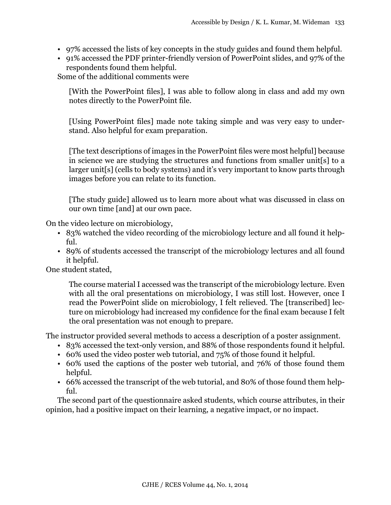- 97% accessed the lists of key concepts in the study guides and found them helpful.
- 91% accessed the PDF printer-friendly version of PowerPoint slides, and 97% of the respondents found them helpful.

Some of the additional comments were

[With the PowerPoint files], I was able to follow along in class and add my own notes directly to the PowerPoint file.

[Using PowerPoint files] made note taking simple and was very easy to understand. Also helpful for exam preparation.

[The text descriptions of images in the PowerPoint files were most helpful] because in science we are studying the structures and functions from smaller unit[s] to a larger unit[s] (cells to body systems) and it's very important to know parts through images before you can relate to its function.

[The study guide] allowed us to learn more about what was discussed in class on our own time [and] at our own pace.

On the video lecture on microbiology,

- 83% watched the video recording of the microbiology lecture and all found it helpful.
- 89% of students accessed the transcript of the microbiology lectures and all found it helpful.

One student stated,

The course material I accessed was the transcript of the microbiology lecture. Even with all the oral presentations on microbiology, I was still lost. However, once I read the PowerPoint slide on microbiology, I felt relieved. The [transcribed] lecture on microbiology had increased my confidence for the final exam because I felt the oral presentation was not enough to prepare.

The instructor provided several methods to access a description of a poster assignment.

- 83% accessed the text-only version, and 88% of those respondents found it helpful.
- 60% used the video poster web tutorial, and 75% of those found it helpful.
- 60% used the captions of the poster web tutorial, and 76% of those found them helpful.
- 66% accessed the transcript of the web tutorial, and 80% of those found them helpful.

The second part of the questionnaire asked students, which course attributes, in their opinion, had a positive impact on their learning, a negative impact, or no impact.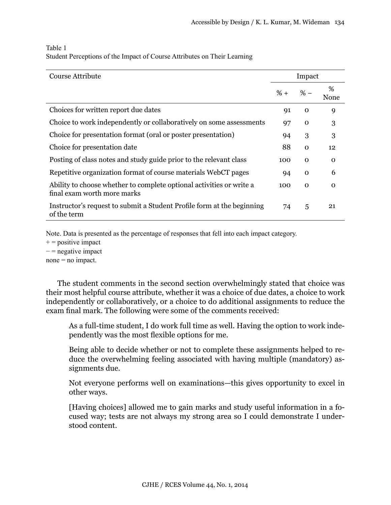| Course Attribute                                                                                    | Impact |             |              |  |
|-----------------------------------------------------------------------------------------------------|--------|-------------|--------------|--|
|                                                                                                     | $% +$  | $% -$       | %<br>None    |  |
| Choices for written report due dates                                                                | 91     | $\mathbf 0$ | 9            |  |
| Choice to work independently or collaboratively on some assessments                                 | 97     | $\mathbf 0$ | 3            |  |
| Choice for presentation format (oral or poster presentation)                                        | 94     | 3           | 3            |  |
| Choice for presentation date                                                                        | 88     | $\mathbf 0$ | 12           |  |
| Posting of class notes and study guide prior to the relevant class                                  | 100    | $\mathbf 0$ | 0            |  |
| Repetitive organization format of course materials WebCT pages                                      | 94     | $\mathbf 0$ | 6            |  |
| Ability to choose whether to complete optional activities or write a<br>final exam worth more marks | 100    | $\mathbf 0$ | $\mathbf{O}$ |  |
| Instructor's request to submit a Student Profile form at the beginning<br>of the term               | 74     | 5           | 21           |  |

## Table 1 Student Perceptions of the Impact of Course Attributes on Their Learning

Note. Data is presented as the percentage of responses that fell into each impact category.

 $+$  = positive impact

− = negative impact

 $none = no impact.$ 

The student comments in the second section overwhelmingly stated that choice was their most helpful course attribute, whether it was a choice of due dates, a choice to work independently or collaboratively, or a choice to do additional assignments to reduce the exam final mark. The following were some of the comments received:

As a full-time student, I do work full time as well. Having the option to work independently was the most flexible options for me.

Being able to decide whether or not to complete these assignments helped to reduce the overwhelming feeling associated with having multiple (mandatory) assignments due.

Not everyone performs well on examinations—this gives opportunity to excel in other ways.

[Having choices] allowed me to gain marks and study useful information in a focused way; tests are not always my strong area so I could demonstrate I understood content.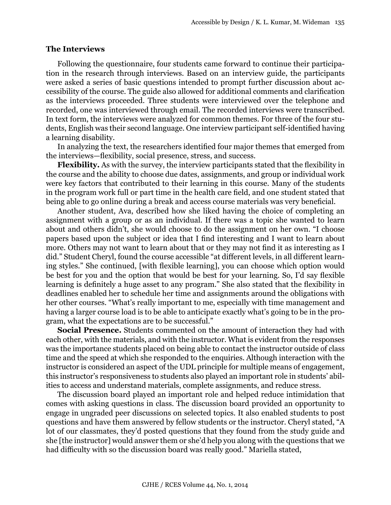#### **The Interviews**

Following the questionnaire, four students came forward to continue their participation in the research through interviews. Based on an interview guide, the participants were asked a series of basic questions intended to prompt further discussion about accessibility of the course. The guide also allowed for additional comments and clarification as the interviews proceeded. Three students were interviewed over the telephone and recorded, one was interviewed through email. The recorded interviews were transcribed. In text form, the interviews were analyzed for common themes. For three of the four students, English was their second language. One interview participant self-identified having a learning disability.

In analyzing the text, the researchers identified four major themes that emerged from the interviews—flexibility, social presence, stress, and success.

**Flexibility.** As with the survey, the interview participants stated that the flexibility in the course and the ability to choose due dates, assignments, and group or individual work were key factors that contributed to their learning in this course. Many of the students in the program work full or part time in the health care field, and one student stated that being able to go online during a break and access course materials was very beneficial.

Another student, Ava, described how she liked having the choice of completing an assignment with a group or as an individual. If there was a topic she wanted to learn about and others didn't, she would choose to do the assignment on her own. "I choose papers based upon the subject or idea that I find interesting and I want to learn about more. Others may not want to learn about that or they may not find it as interesting as I did." Student Cheryl, found the course accessible "at different levels, in all different learning styles." She continued, [with flexible learning], you can choose which option would be best for you and the option that would be best for your learning. So, I'd say flexible learning is definitely a huge asset to any program." She also stated that the flexibility in deadlines enabled her to schedule her time and assignments around the obligations with her other courses. "What's really important to me, especially with time management and having a larger course load is to be able to anticipate exactly what's going to be in the program, what the expectations are to be successful."

**Social Presence.** Students commented on the amount of interaction they had with each other, with the materials, and with the instructor. What is evident from the responses was the importance students placed on being able to contact the instructor outside of class time and the speed at which she responded to the enquiries. Although interaction with the instructor is considered an aspect of the UDL principle for multiple means of engagement, this instructor's responsiveness to students also played an important role in students' abilities to access and understand materials, complete assignments, and reduce stress.

The discussion board played an important role and helped reduce intimidation that comes with asking questions in class. The discussion board provided an opportunity to engage in ungraded peer discussions on selected topics. It also enabled students to post questions and have them answered by fellow students or the instructor. Cheryl stated, "A lot of our classmates, they'd posted questions that they found from the study guide and she [the instructor] would answer them or she'd help you along with the questions that we had difficulty with so the discussion board was really good." Mariella stated,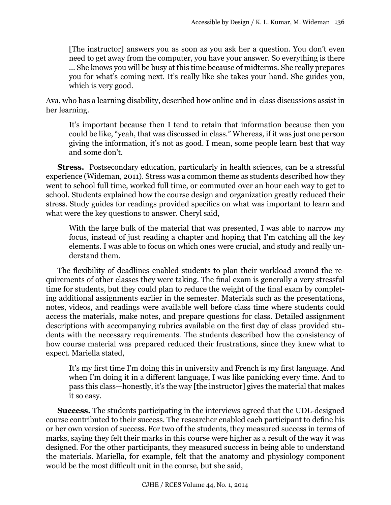[The instructor] answers you as soon as you ask her a question. You don't even need to get away from the computer, you have your answer. So everything is there … She knows you will be busy at this time because of midterms. She really prepares you for what's coming next. It's really like she takes your hand. She guides you, which is very good.

Ava, who has a learning disability, described how online and in-class discussions assist in her learning.

It's important because then I tend to retain that information because then you could be like, "yeah, that was discussed in class." Whereas, if it was just one person giving the information, it's not as good. I mean, some people learn best that way and some don't.

**Stress.** Postsecondary education, particularly in health sciences, can be a stressful experience (Wideman, 2011). Stress was a common theme as students described how they went to school full time, worked full time, or commuted over an hour each way to get to school. Students explained how the course design and organization greatly reduced their stress. Study guides for readings provided specifics on what was important to learn and what were the key questions to answer. Cheryl said,

With the large bulk of the material that was presented, I was able to narrow my focus, instead of just reading a chapter and hoping that I'm catching all the key elements. I was able to focus on which ones were crucial, and study and really understand them.

The flexibility of deadlines enabled students to plan their workload around the requirements of other classes they were taking. The final exam is generally a very stressful time for students, but they could plan to reduce the weight of the final exam by completing additional assignments earlier in the semester. Materials such as the presentations, notes, videos, and readings were available well before class time where students could access the materials, make notes, and prepare questions for class. Detailed assignment descriptions with accompanying rubrics available on the first day of class provided students with the necessary requirements. The students described how the consistency of how course material was prepared reduced their frustrations, since they knew what to expect. Mariella stated,

It's my first time I'm doing this in university and French is my first language. And when I'm doing it in a different language, I was like panicking every time. And to pass this class—honestly, it's the way [the instructor] gives the material that makes it so easy.

**Success.** The students participating in the interviews agreed that the UDL-designed course contributed to their success. The researcher enabled each participant to define his or her own version of success. For two of the students, they measured success in terms of marks, saying they felt their marks in this course were higher as a result of the way it was designed. For the other participants, they measured success in being able to understand the materials. Mariella, for example, felt that the anatomy and physiology component would be the most difficult unit in the course, but she said,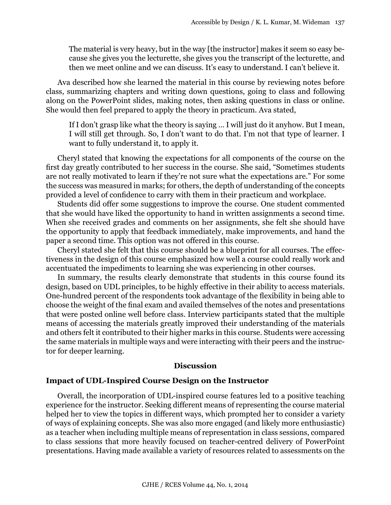The material is very heavy, but in the way [the instructor] makes it seem so easy because she gives you the lecturette, she gives you the transcript of the lecturette, and then we meet online and we can discuss. It's easy to understand. I can't believe it.

Ava described how she learned the material in this course by reviewing notes before class, summarizing chapters and writing down questions, going to class and following along on the PowerPoint slides, making notes, then asking questions in class or online. She would then feel prepared to apply the theory in practicum. Ava stated,

If I don't grasp like what the theory is saying … I will just do it anyhow. But I mean, I will still get through. So, I don't want to do that. I'm not that type of learner. I want to fully understand it, to apply it.

Cheryl stated that knowing the expectations for all components of the course on the first day greatly contributed to her success in the course. She said, "Sometimes students are not really motivated to learn if they're not sure what the expectations are." For some the success was measured in marks; for others, the depth of understanding of the concepts provided a level of confidence to carry with them in their practicum and workplace.

Students did offer some suggestions to improve the course. One student commented that she would have liked the opportunity to hand in written assignments a second time. When she received grades and comments on her assignments, she felt she should have the opportunity to apply that feedback immediately, make improvements, and hand the paper a second time. This option was not offered in this course.

Cheryl stated she felt that this course should be a blueprint for all courses. The effectiveness in the design of this course emphasized how well a course could really work and accentuated the impediments to learning she was experiencing in other courses.

In summary, the results clearly demonstrate that students in this course found its design, based on UDL principles, to be highly effective in their ability to access materials. One-hundred percent of the respondents took advantage of the flexibility in being able to choose the weight of the final exam and availed themselves of the notes and presentations that were posted online well before class. Interview participants stated that the multiple means of accessing the materials greatly improved their understanding of the materials and others felt it contributed to their higher marks in this course. Students were accessing the same materials in multiple ways and were interacting with their peers and the instructor for deeper learning.

#### **Discussion**

#### **Impact of UDL-Inspired Course Design on the Instructor**

Overall, the incorporation of UDL-inspired course features led to a positive teaching experience for the instructor. Seeking different means of representing the course material helped her to view the topics in different ways, which prompted her to consider a variety of ways of explaining concepts. She was also more engaged (and likely more enthusiastic) as a teacher when including multiple means of representation in class sessions, compared to class sessions that more heavily focused on teacher-centred delivery of PowerPoint presentations. Having made available a variety of resources related to assessments on the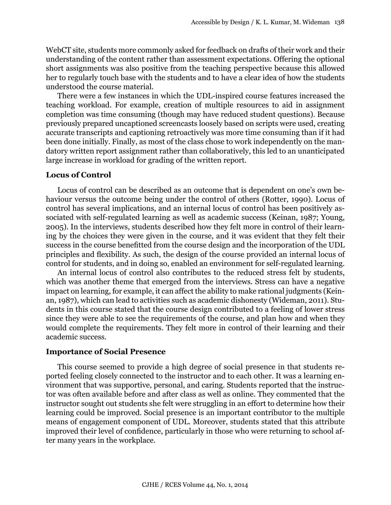WebCT site, students more commonly asked for feedback on drafts of their work and their understanding of the content rather than assessment expectations. Offering the optional short assignments was also positive from the teaching perspective because this allowed her to regularly touch base with the students and to have a clear idea of how the students understood the course material.

There were a few instances in which the UDL-inspired course features increased the teaching workload. For example, creation of multiple resources to aid in assignment completion was time consuming (though may have reduced student questions). Because previously prepared uncaptioned screencasts loosely based on scripts were used, creating accurate transcripts and captioning retroactively was more time consuming than if it had been done initially. Finally, as most of the class chose to work independently on the mandatory written report assignment rather than collaboratively, this led to an unanticipated large increase in workload for grading of the written report.

#### **Locus of Control**

Locus of control can be described as an outcome that is dependent on one's own behaviour versus the outcome being under the control of others (Rotter, 1990). Locus of control has several implications, and an internal locus of control has been positively associated with self-regulated learning as well as academic success (Keinan, 1987; Young, 2005). In the interviews, students described how they felt more in control of their learning by the choices they were given in the course, and it was evident that they felt their success in the course benefitted from the course design and the incorporation of the UDL principles and flexibility. As such, the design of the course provided an internal locus of control for students, and in doing so, enabled an environment for self-regulated learning.

An internal locus of control also contributes to the reduced stress felt by students, which was another theme that emerged from the interviews. Stress can have a negative impact on learning, for example, it can affect the ability to make rational judgments (Keinan, 1987), which can lead to activities such as academic dishonesty (Wideman, 2011). Students in this course stated that the course design contributed to a feeling of lower stress since they were able to see the requirements of the course, and plan how and when they would complete the requirements. They felt more in control of their learning and their academic success.

#### **Importance of Social Presence**

This course seemed to provide a high degree of social presence in that students reported feeling closely connected to the instructor and to each other. It was a learning environment that was supportive, personal, and caring. Students reported that the instructor was often available before and after class as well as online. They commented that the instructor sought out students she felt were struggling in an effort to determine how their learning could be improved. Social presence is an important contributor to the multiple means of engagement component of UDL. Moreover, students stated that this attribute improved their level of confidence, particularly in those who were returning to school after many years in the workplace.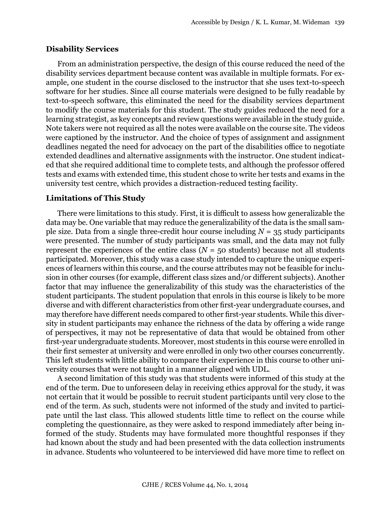#### **Disability Services**

From an administration perspective, the design of this course reduced the need of the disability services department because content was available in multiple formats. For example, one student in the course disclosed to the instructor that she uses text-to-speech software for her studies. Since all course materials were designed to be fully readable by text-to-speech software, this eliminated the need for the disability services department to modify the course materials for this student. The study guides reduced the need for a learning strategist, as key concepts and review questions were available in the study guide. Note takers were not required as all the notes were available on the course site. The videos were captioned by the instructor. And the choice of types of assignment and assignment deadlines negated the need for advocacy on the part of the disabilities office to negotiate extended deadlines and alternative assignments with the instructor. One student indicated that she required additional time to complete tests, and although the professor offered tests and exams with extended time, this student chose to write her tests and exams in the university test centre, which provides a distraction-reduced testing facility.

## **Limitations of This Study**

There were limitations to this study. First, it is difficult to assess how generalizable the data may be. One variable that may reduce the generalizability of the data is the small sample size. Data from a single three-credit hour course including  $N = 35$  study participants were presented. The number of study participants was small, and the data may not fully represent the experiences of the entire class  $(N = 50$  students) because not all students participated. Moreover, this study was a case study intended to capture the unique experiences of learners within this course, and the course attributes may not be feasible for inclusion in other courses (for example, different class sizes and/or different subjects). Another factor that may influence the generalizability of this study was the characteristics of the student participants. The student population that enrols in this course is likely to be more diverse and with different characteristics from other first-year undergraduate courses, and may therefore have different needs compared to other first-year students. While this diversity in student participants may enhance the richness of the data by offering a wide range of perspectives, it may not be representative of data that would be obtained from other first-year undergraduate students. Moreover, most students in this course were enrolled in their first semester at university and were enrolled in only two other courses concurrently. This left students with little ability to compare their experience in this course to other university courses that were not taught in a manner aligned with UDL.

A second limitation of this study was that students were informed of this study at the end of the term. Due to unforeseen delay in receiving ethics approval for the study, it was not certain that it would be possible to recruit student participants until very close to the end of the term. As such, students were not informed of the study and invited to participate until the last class. This allowed students little time to reflect on the course while completing the questionnaire, as they were asked to respond immediately after being informed of the study. Students may have formulated more thoughtful responses if they had known about the study and had been presented with the data collection instruments in advance. Students who volunteered to be interviewed did have more time to reflect on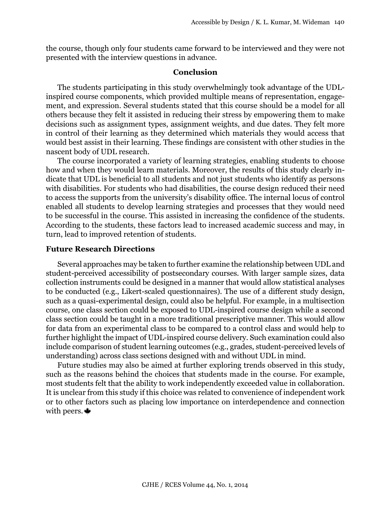the course, though only four students came forward to be interviewed and they were not presented with the interview questions in advance.

#### **Conclusion**

The students participating in this study overwhelmingly took advantage of the UDLinspired course components, which provided multiple means of representation, engagement, and expression. Several students stated that this course should be a model for all others because they felt it assisted in reducing their stress by empowering them to make decisions such as assignment types, assignment weights, and due dates. They felt more in control of their learning as they determined which materials they would access that would best assist in their learning. These findings are consistent with other studies in the nascent body of UDL research.

The course incorporated a variety of learning strategies, enabling students to choose how and when they would learn materials. Moreover, the results of this study clearly indicate that UDL is beneficial to all students and not just students who identify as persons with disabilities. For students who had disabilities, the course design reduced their need to access the supports from the university's disability office. The internal locus of control enabled all students to develop learning strategies and processes that they would need to be successful in the course. This assisted in increasing the confidence of the students. According to the students, these factors lead to increased academic success and may, in turn, lead to improved retention of students.

#### **Future Research Directions**

Several approaches may be taken to further examine the relationship between UDL and student-perceived accessibility of postsecondary courses. With larger sample sizes, data collection instruments could be designed in a manner that would allow statistical analyses to be conducted (e.g., Likert-scaled questionnaires). The use of a different study design, such as a quasi-experimental design, could also be helpful. For example, in a multisection course, one class section could be exposed to UDL-inspired course design while a second class section could be taught in a more traditional prescriptive manner. This would allow for data from an experimental class to be compared to a control class and would help to further highlight the impact of UDL-inspired course delivery. Such examination could also include comparison of student learning outcomes (e.g., grades, student-perceived levels of understanding) across class sections designed with and without UDL in mind.

Future studies may also be aimed at further exploring trends observed in this study, such as the reasons behind the choices that students made in the course. For example, most students felt that the ability to work independently exceeded value in collaboration. It is unclear from this study if this choice was related to convenience of independent work or to other factors such as placing low importance on interdependence and connection with peers.  $\triangleq$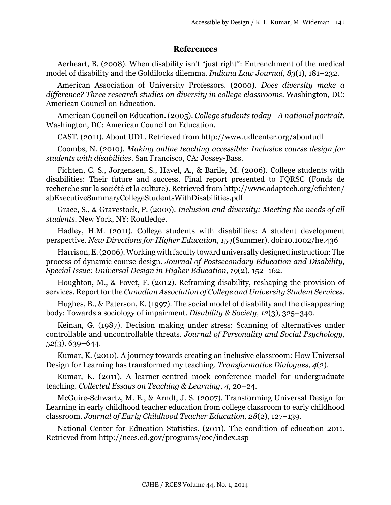#### **References**

Aerheart, B. (2008). When disability isn't "just right": Entrenchment of the medical model of disability and the Goldilocks dilemma. *Indiana Law Journal, 83*(1), 181–232.

American Association of University Professors. (2000). *Does diversity make a difference? Three research studies on diversity in college classrooms*. Washington, DC: American Council on Education.

American Council on Education. (2005). *College students today—A national portrait*. Washington, DC: American Council on Education.

CAST. (2011). About UDL. Retrieved from http://www.udlcenter.org/aboutudl

Coombs, N. (2010). *Making online teaching accessible: Inclusive course design for students with disabilities*. San Francisco, CA: Jossey-Bass.

Fichten, C. S., Jorgensen, S., Havel, A., & Barile, M. (2006). College students with disabilities: Their future and success. Final report presented to FQRSC (Fonds de recherche sur la société et la culture). Retrieved from http://www.adaptech.org/cfichten/ abExecutiveSummaryCollegeStudentsWithDisabilities.pdf

Grace, S., & Gravestock, P. (2009). *Inclusion and diversity: Meeting the needs of all students*. New York, NY: Routledge.

Hadley, H.M. (2011). College students with disabilities: A student development perspective. *New Directions for Higher Education*, *154*(Summer). doi:10.1002/he.436

Harrison, E. (2006). Working with faculty toward universally designed instruction: The process of dynamic course design*. Journal of Postsecondary Education and Disability, Special Issue: Universal Design in Higher Education, 19*(2), 152–162.

Houghton, M., & Fovet, F. (2012). Reframing disability, reshaping the provision of services. Report for the *Canadian Association of College and University Student Services*.

Hughes, B., & Paterson, K. (1997). The social model of disability and the disappearing body: Towards a sociology of impairment. *Disability & Society, 12*(3), 325–340.

Keinan, G. (1987). Decision making under stress: Scanning of alternatives under controllable and uncontrollable threats. *Journal of Personality and Social Psychology, 52(*3), 639–644.

Kumar, K. (2010). A journey towards creating an inclusive classroom: How Universal Design for Learning has transformed my teaching. *Transformative Dialogues*, *4*(2).

Kumar, K. (2011). A learner-centred mock conference model for undergraduate teaching*. Collected Essays on Teaching & Learning*, *4*, 20–24.

McGuire-Schwartz, M. E., & Arndt, J. S. (2007). Transforming Universal Design for Learning in early childhood teacher education from college classroom to early childhood classroom. *Journal of Early Childhood Teacher Education, 28*(2), 127–139.

National Center for Education Statistics. (2011). The condition of education 2011. Retrieved from http://nces.ed.gov/programs/coe/index.asp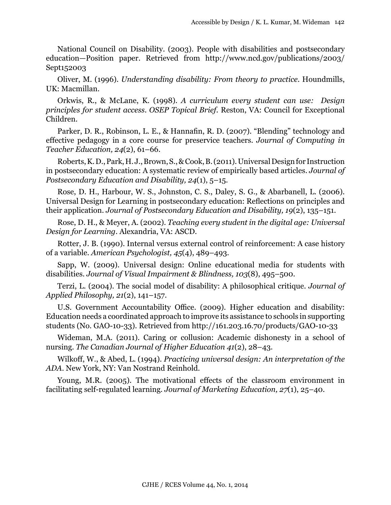National Council on Disability. (2003). People with disabilities and postsecondary education—Position paper. Retrieved from http://www.ncd.gov/publications/2003/ Sept152003

Oliver, M. (1996). *Understanding disability: From theory to practice*. Houndmills, UK: Macmillan.

Orkwis, R., & McLane, K. (1998). *A curriculum every student can use: Design principles for student access. OSEP Topical Brief.* Reston, VA: Council for Exceptional Children.

Parker, D. R., Robinson, L. E., & Hannafin, R. D. (2007). "Blending" technology and effective pedagogy in a core course for preservice teachers. *Journal of Computing in Teacher Education, 24*(2), 61–66.

Roberts, K. D., Park, H. J., Brown, S., & Cook, B. (2011). Universal Design for Instruction in postsecondary education: A systematic review of empirically based articles. *Journal of Postsecondary Education and Disability, 24*(1), 5–15.

Rose, D. H., Harbour, W. S., Johnston, C. S., Daley, S. G., & Abarbanell, L. (2006). Universal Design for Learning in postsecondary education: Reflections on principles and their application. *Journal of Postsecondary Education and Disability, 19*(2), 135–151.

Rose, D. H., & Meyer, A. (2002). *Teaching every student in the digital age: Universal Design for Learning*. Alexandria, VA: ASCD.

Rotter, J. B. (1990). Internal versus external control of reinforcement: A case history of a variable. *American Psychologist, 45*(4), 489–493.

Sapp, W. (2009). Universal design: Online educational media for students with disabilities. *Journal of Visual Impairment & Blindness, 103*(8), 495–500.

Terzi, L. (2004). The social model of disability: A philosophical critique. *Journal of Applied Philosophy, 21*(2), 141–157.

U.S. Government Accountability Office. (2009). Higher education and disability: Education needs a coordinated approach to improve its assistance to schools in supporting students (No. GAO-10-33). Retrieved from http://161.203.16.70/products/GAO-10-33

Wideman, M.A. (2011). Caring or collusion: Academic dishonesty in a school of nursing. *The Canadian Journal of Higher Education 41*(2), 28–43.

Wilkoff, W., & Abed, L. (1994). *Practicing universal design: An interpretation of the ADA*. New York, NY: Van Nostrand Reinhold.

Young, M.R. (2005). The motivational effects of the classroom environment in facilitating self-regulated learning*. Journal of Marketing Education, 27*(1), 25–40.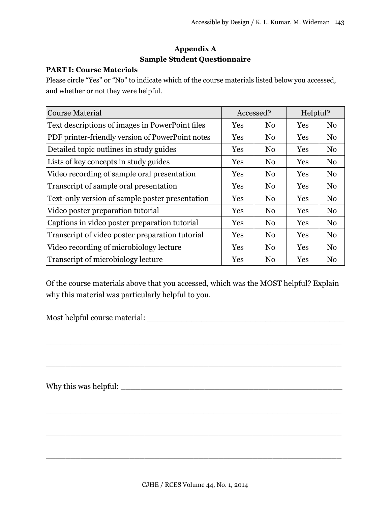# **Appendix A Sample Student Questionnaire**

# **PART I: Course Materials**

Please circle "Yes" or "No" to indicate which of the course materials listed below you accessed, and whether or not they were helpful.

| <b>Course Material</b>                           | Accessed?  |                | Helpful?   |                |
|--------------------------------------------------|------------|----------------|------------|----------------|
| Text descriptions of images in PowerPoint files  | Yes        | N <sub>0</sub> | Yes        | N <sub>0</sub> |
| PDF printer-friendly version of PowerPoint notes | Yes        | N <sub>0</sub> | Yes        | N <sub>0</sub> |
| Detailed topic outlines in study guides          | Yes        | N <sub>0</sub> | Yes        | N <sub>0</sub> |
| Lists of key concepts in study guides            | <b>Yes</b> | N <sub>0</sub> | <b>Yes</b> | N <sub>0</sub> |
| Video recording of sample oral presentation      | <b>Yes</b> | N <sub>0</sub> | <b>Yes</b> | No             |
| Transcript of sample oral presentation           | Yes        | N <sub>0</sub> | Yes        | No             |
| Text-only version of sample poster presentation  | Yes        | N <sub>0</sub> | Yes        | N <sub>0</sub> |
| Video poster preparation tutorial                | Yes        | N <sub>0</sub> | Yes        | N <sub>0</sub> |
| Captions in video poster preparation tutorial    | Yes        | N <sub>0</sub> | Yes        | N <sub>0</sub> |
| Transcript of video poster preparation tutorial  | Yes        | N <sub>0</sub> | Yes        | N <sub>0</sub> |
| Video recording of microbiology lecture          | Yes        | N <sub>0</sub> | Yes        | N <sub>0</sub> |
| Transcript of microbiology lecture               | Yes        | N <sub>0</sub> | Yes        | N <sub>0</sub> |

Of the course materials above that you accessed, which was the MOST helpful? Explain why this material was particularly helpful to you.

\_\_\_\_\_\_\_\_\_\_\_\_\_\_\_\_\_\_\_\_\_\_\_\_\_\_\_\_\_\_\_\_\_\_\_\_\_\_\_\_\_\_\_\_\_\_\_\_\_\_\_\_\_\_\_\_\_\_\_\_

\_\_\_\_\_\_\_\_\_\_\_\_\_\_\_\_\_\_\_\_\_\_\_\_\_\_\_\_\_\_\_\_\_\_\_\_\_\_\_\_\_\_\_\_\_\_\_\_\_\_\_\_\_\_\_\_\_\_\_\_

\_\_\_\_\_\_\_\_\_\_\_\_\_\_\_\_\_\_\_\_\_\_\_\_\_\_\_\_\_\_\_\_\_\_\_\_\_\_\_\_\_\_\_\_\_\_\_\_\_\_\_\_\_\_\_\_\_\_\_\_

\_\_\_\_\_\_\_\_\_\_\_\_\_\_\_\_\_\_\_\_\_\_\_\_\_\_\_\_\_\_\_\_\_\_\_\_\_\_\_\_\_\_\_\_\_\_\_\_\_\_\_\_\_\_\_\_\_\_\_\_

\_\_\_\_\_\_\_\_\_\_\_\_\_\_\_\_\_\_\_\_\_\_\_\_\_\_\_\_\_\_\_\_\_\_\_\_\_\_\_\_\_\_\_\_\_\_\_\_\_\_\_\_\_\_\_\_\_\_\_\_

Most helpful course material: \_\_\_\_\_\_\_\_\_\_\_\_\_\_\_\_\_\_\_\_\_\_\_\_\_\_\_\_\_\_\_\_\_\_\_\_\_\_\_\_

Why this was helpful: \_\_\_\_\_\_\_\_\_\_\_\_\_\_\_\_\_\_\_\_\_\_\_\_\_\_\_\_\_\_\_\_\_\_\_\_\_\_\_\_\_\_\_\_\_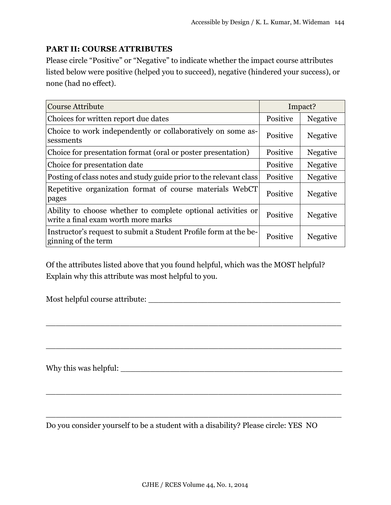# **PART II: COURSE ATTRIBUTES**

Please circle "Positive" or "Negative" to indicate whether the impact course attributes listed below were positive (helped you to succeed), negative (hindered your success), or none (had no effect).

| <b>Course Attribute</b>                                                                             | Impact?  |                 |
|-----------------------------------------------------------------------------------------------------|----------|-----------------|
| Choices for written report due dates                                                                | Positive | <b>Negative</b> |
| Choice to work independently or collaboratively on some as-<br>sessments                            | Positive | <b>Negative</b> |
| Choice for presentation format (oral or poster presentation)                                        | Positive | <b>Negative</b> |
| Choice for presentation date                                                                        | Positive | <b>Negative</b> |
| Posting of class notes and study guide prior to the relevant class                                  | Positive | <b>Negative</b> |
| Repetitive organization format of course materials WebCT<br>pages                                   | Positive | <b>Negative</b> |
| Ability to choose whether to complete optional activities or<br>write a final exam worth more marks | Positive | <b>Negative</b> |
| Instructor's request to submit a Student Profile form at the be-<br>ginning of the term             | Positive | Negative        |

Of the attributes listed above that you found helpful, which was the MOST helpful? Explain why this attribute was most helpful to you.

 $\_$  . The contract of the contract of the contract of the contract of the contract of the contract of the contract of the contract of the contract of the contract of the contract of the contract of the contract of the con

 $\_$  . The contract of the contract of the contract of the contract of the contract of the contract of the contract of the contract of the contract of the contract of the contract of the contract of the contract of the con

 $\_$  . The contract of the contract of the contract of the contract of the contract of the contract of the contract of the contract of the contract of the contract of the contract of the contract of the contract of the con

 $\_$  . The contract of the contract of the contract of the contract of the contract of the contract of the contract of the contract of the contract of the contract of the contract of the contract of the contract of the con

Most helpful course attribute:

Why this was helpful: \_\_\_\_\_\_\_\_\_\_\_\_\_\_\_\_\_\_\_\_\_\_\_\_\_\_\_\_\_\_\_\_\_\_\_\_\_\_\_\_\_\_\_\_\_

Do you consider yourself to be a student with a disability? Please circle: YES NO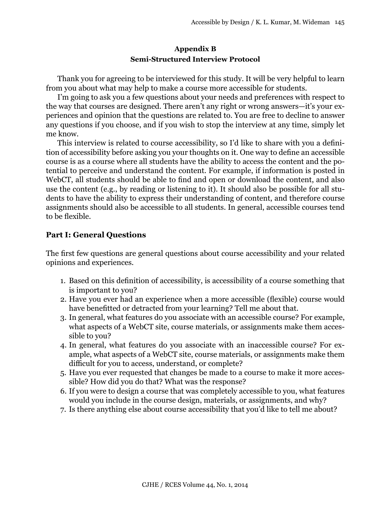# **Appendix B Semi-Structured Interview Protocol**

Thank you for agreeing to be interviewed for this study. It will be very helpful to learn from you about what may help to make a course more accessible for students.

I'm going to ask you a few questions about your needs and preferences with respect to the way that courses are designed. There aren't any right or wrong answers—it's your experiences and opinion that the questions are related to. You are free to decline to answer any questions if you choose, and if you wish to stop the interview at any time, simply let me know.

This interview is related to course accessibility, so I'd like to share with you a definition of accessibility before asking you your thoughts on it. One way to define an accessible course is as a course where all students have the ability to access the content and the potential to perceive and understand the content. For example, if information is posted in WebCT, all students should be able to find and open or download the content, and also use the content (e.g., by reading or listening to it). It should also be possible for all students to have the ability to express their understanding of content, and therefore course assignments should also be accessible to all students. In general, accessible courses tend to be flexible.

# **Part I: General Questions**

The first few questions are general questions about course accessibility and your related opinions and experiences.

- 1. Based on this definition of accessibility, is accessibility of a course something that is important to you?
- 2. Have you ever had an experience when a more accessible (flexible) course would have benefitted or detracted from your learning? Tell me about that.
- 3. In general, what features do you associate with an accessible course? For example, what aspects of a WebCT site, course materials, or assignments make them accessible to you?
- 4. In general, what features do you associate with an inaccessible course? For example, what aspects of a WebCT site, course materials, or assignments make them difficult for you to access, understand, or complete?
- 5. Have you ever requested that changes be made to a course to make it more accessible? How did you do that? What was the response?
- 6. If you were to design a course that was completely accessible to you, what features would you include in the course design, materials, or assignments, and why?
- 7. Is there anything else about course accessibility that you'd like to tell me about?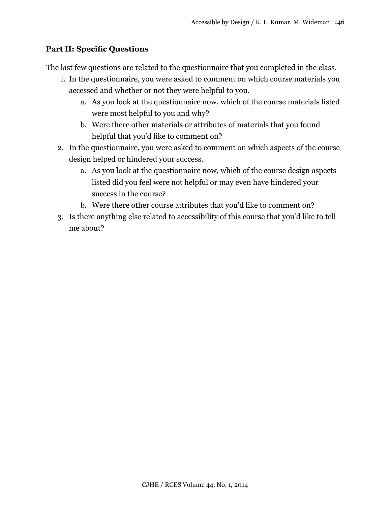# **Part II: Specific Questions**

The last few questions are related to the questionnaire that you completed in the class.

- 1. In the questionnaire, you were asked to comment on which course materials you accessed and whether or not they were helpful to you.
	- a. As you look at the questionnaire now, which of the course materials listed were most helpful to you and why?
	- b. Were there other materials or attributes of materials that you found helpful that you'd like to comment on?
- 2. In the questionnaire, you were asked to comment on which aspects of the course design helped or hindered your success.
	- a. As you look at the questionnaire now, which of the course design aspects listed did you feel were not helpful or may even have hindered your success in the course?
	- b. Were there other course attributes that you'd like to comment on?
- 3. Is there anything else related to accessibility of this course that you'd like to tell me about?